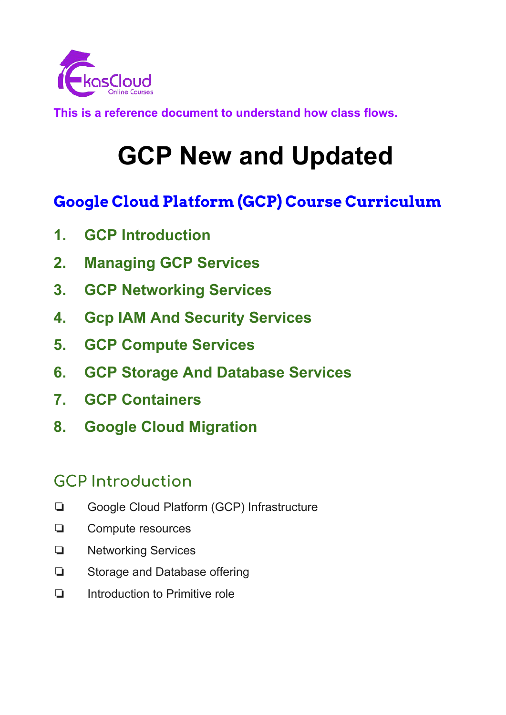

**This is a reference document to understand how class flows.**

# **GCP New and Updated**

## **Google Cloud Platform (GCP) Course Curriculum**

- **1. GCP Introduction**
- **2. Managing GCP Services**
- **3. GCP Networking Services**
- **4. Gcp IAM And Security Services**
- **5. GCP Compute Services**
- **6. GCP Storage And Database Services**
- **7. GCP Containers**
- **8. Google Cloud Migration**

## **GCP Introduction**

- ❏ Google Cloud Platform (GCP) Infrastructure
- ❏ Compute resources
- ❏ Networking Services
- ❏ Storage and Database offering
- ❏ Introduction to Primitive role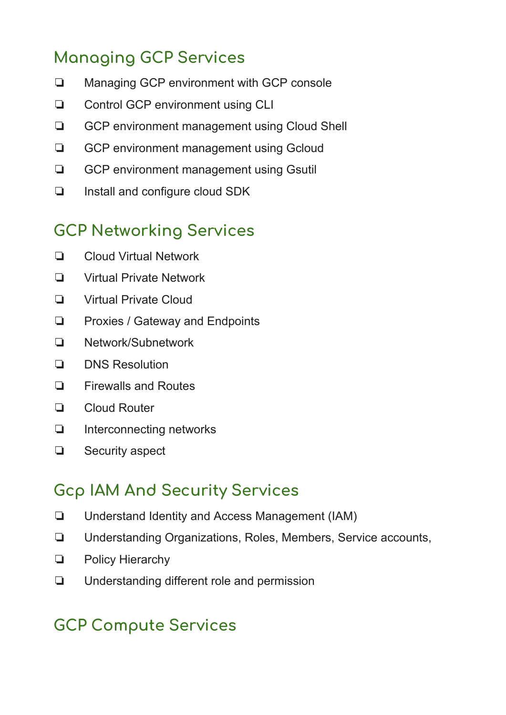# **Managing GCP Services**

- ❏ Managing GCP environment with GCP console
- ❏ Control GCP environment using CLI
- ❏ GCP environment management using Cloud Shell
- ❏ GCP environment management using Gcloud
- ❏ GCP environment management using Gsutil
- ❏ Install and configure cloud SDK

#### **GCP Networking Services**

- ❏ Cloud Virtual Network
- ❏ Virtual Private Network
- ❏ Virtual Private Cloud
- ❏ Proxies / Gateway and Endpoints
- ❏ Network/Subnetwork
- ❏ DNS Resolution
- ❏ Firewalls and Routes
- ❏ Cloud Router
- ❏ Interconnecting networks
- ❏ Security aspect

#### **Gcp IAM And Security Services**

- ❏ Understand Identity and Access Management (IAM)
- ❏ Understanding Organizations, Roles, Members, Service accounts,
- ❏ Policy Hierarchy
- ❏ Understanding different role and permission

## **GCP Compute Services**